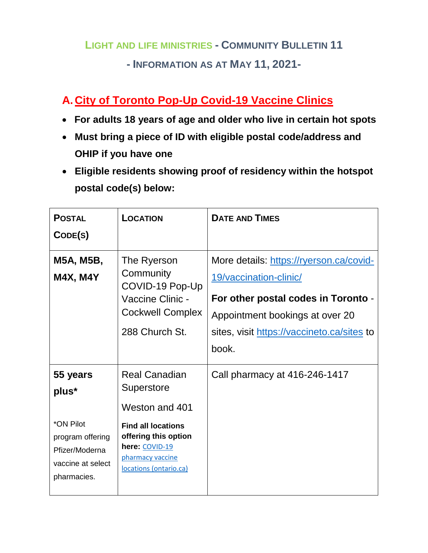## **LIGHT AND LIFE MINISTRIES - COMMUNITY BULLETIN 11**

### **- INFORMATION AS AT MAY 11, 2021-**

# **A.City of Toronto Pop-Up Covid-19 Vaccine Clinics**

- **For adults 18 years of age and older who live in certain hot spots**
- **Must bring a piece of ID with eligible postal code/address and OHIP if you have one**
- **Eligible residents showing proof of residency within the hotspot postal code(s) below:**

| <b>POSTAL</b><br>CODE(S)                                                                                 | LOCATION                                                                                                                                                                  | <b>DATE AND TIMES</b>                                                                                                                                                                              |
|----------------------------------------------------------------------------------------------------------|---------------------------------------------------------------------------------------------------------------------------------------------------------------------------|----------------------------------------------------------------------------------------------------------------------------------------------------------------------------------------------------|
| M5A, M5B,<br><b>M4X, M4Y</b>                                                                             | The Ryerson<br>Community<br>COVID-19 Pop-Up<br>Vaccine Clinic -<br><b>Cockwell Complex</b><br>288 Church St.                                                              | More details: https://ryerson.ca/covid-<br>19/vaccination-clinic/<br>For other postal codes in Toronto -<br>Appointment bookings at over 20<br>sites, visit https://vaccineto.ca/sites to<br>book. |
| 55 years<br>plus*<br>*ON Pilot<br>program offering<br>Pfizer/Moderna<br>vaccine at select<br>pharmacies. | <b>Real Canadian</b><br>Superstore<br>Weston and 401<br><b>Find all locations</b><br>offering this option<br>here: COVID-19<br>pharmacy vaccine<br>locations (ontario.ca) | Call pharmacy at 416-246-1417                                                                                                                                                                      |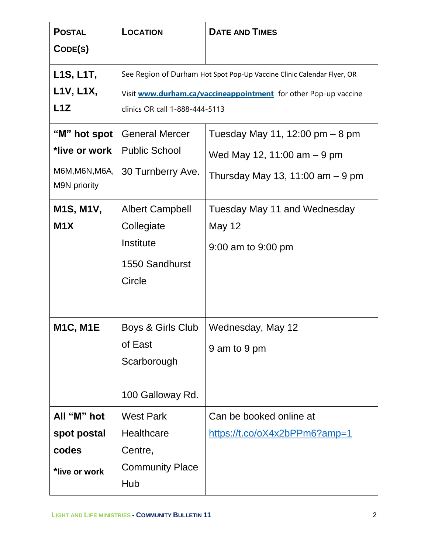| <b>POSTAL</b><br>CODE(S)                                                                         | <b>LOCATION</b>                                                                                                                                                             | <b>DATE AND TIMES</b>                                                                                                                                                          |
|--------------------------------------------------------------------------------------------------|-----------------------------------------------------------------------------------------------------------------------------------------------------------------------------|--------------------------------------------------------------------------------------------------------------------------------------------------------------------------------|
| L1S, L1T,<br>L1V, L1X,<br>L1Z                                                                    | See Region of Durham Hot Spot Pop-Up Vaccine Clinic Calendar Flyer, OR<br>Visit www.durham.ca/vaccineappointment for other Pop-up vaccine<br>clinics OR call 1-888-444-5113 |                                                                                                                                                                                |
| "M" hot spot<br>*live or work<br>M6M, M6N, M6A,<br>M9N priority<br>M1S, M1V,<br>M <sub>1</sub> X | <b>General Mercer</b><br><b>Public School</b><br>30 Turnberry Ave.<br><b>Albert Campbell</b><br>Collegiate<br>Institute<br>1550 Sandhurst<br>Circle                         | Tuesday May 11, 12:00 $pm - 8$ pm<br>Wed May 12, 11:00 $am - 9$ pm<br>Thursday May 13, 11:00 am $-9$ pm<br>Tuesday May 11 and Wednesday<br><b>May 12</b><br>9:00 am to 9:00 pm |
| <b>M1C, M1E</b>                                                                                  | Boys & Girls Club<br>of East<br>Scarborough<br>100 Galloway Rd.                                                                                                             | Wednesday, May 12<br>9 am to 9 pm                                                                                                                                              |
| All "M" hot<br>spot postal<br>codes<br>*live or work                                             | <b>West Park</b><br><b>Healthcare</b><br>Centre,<br><b>Community Place</b><br>Hub                                                                                           | Can be booked online at<br>https://t.co/oX4x2bPPm6?amp=1                                                                                                                       |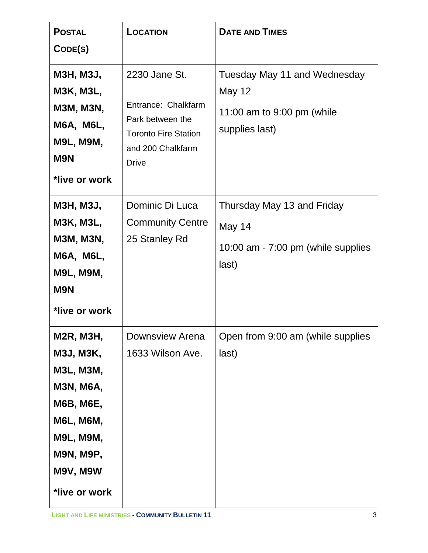| <b>POSTAL</b><br>CODE(S)                                                                                                                                                    | <b>LOCATION</b>                                                                                                              | <b>DATE AND TIMES</b>                                                                         |
|-----------------------------------------------------------------------------------------------------------------------------------------------------------------------------|------------------------------------------------------------------------------------------------------------------------------|-----------------------------------------------------------------------------------------------|
| <b>M3H, M3J,</b><br><b>M3K, M3L,</b><br><b>M3M, M3N,</b><br><b>M6A, M6L,</b><br><b>M9L, M9M,</b><br><b>M9N</b><br>*live or work                                             | 2230 Jane St.<br>Entrance: Chalkfarm<br>Park between the<br><b>Toronto Fire Station</b><br>and 200 Chalkfarm<br><b>Drive</b> | Tuesday May 11 and Wednesday<br><b>May 12</b><br>11:00 am to 9:00 pm (while<br>supplies last) |
| <b>M3H, M3J,</b><br><b>M3K, M3L,</b><br><b>M3M, M3N,</b><br><b>M6A, M6L,</b><br><b>M9L, M9M,</b><br><b>M9N</b><br>*live or work                                             | Dominic Di Luca<br><b>Community Centre</b><br>25 Stanley Rd                                                                  | Thursday May 13 and Friday<br>May 14<br>10:00 am - 7:00 pm (while supplies<br>last)           |
| <b>M2R, M3H,</b><br>M3J, M3K,<br>M3L, M3M,<br><b>M3N, M6A,</b><br><b>M6B, M6E,</b><br><b>M6L, M6M,</b><br><b>M9L, M9M,</b><br><b>M9N, M9P,</b><br>M9V, M9W<br>*live or work | <b>Downsview Arena</b><br>1633 Wilson Ave.                                                                                   | Open from 9:00 am (while supplies<br>last)                                                    |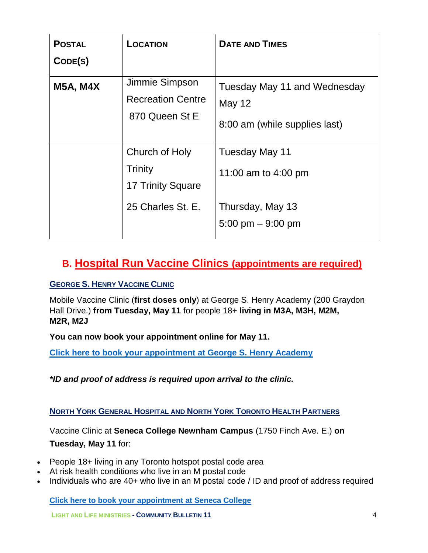| <b>POSTAL</b><br>CODE(S) | <b>LOCATION</b>                                                                   | <b>DATE AND TIMES</b>                                                            |
|--------------------------|-----------------------------------------------------------------------------------|----------------------------------------------------------------------------------|
| <b>M5A, M4X</b>          | Jimmie Simpson<br><b>Recreation Centre</b><br>870 Queen St E                      | Tuesday May 11 and Wednesday<br>May 12<br>8:00 am (while supplies last)          |
|                          | Church of Holy<br><b>Trinity</b><br><b>17 Trinity Square</b><br>25 Charles St. E. | Tuesday May 11<br>11:00 am to 4:00 pm<br>Thursday, May 13<br>5:00 pm $-$ 9:00 pm |

## **B. Hospital Run Vaccine Clinics (appointments are required)**

#### **GEORGE S. HENRY VACCINE CLINIC**

Mobile Vaccine Clinic (**first doses only**) at George S. Henry Academy (200 Graydon Hall Drive.) **from Tuesday, May 11** for people 18+ **living in M3A, M3H, M2M, M2R, M2J**

**You can now book your appointment online for May 11.**

**[Click here to book your appointment at George S. Henry Academy](https://nygh.vertoengage.com/engage/generic-open-clinic?key=fba9f065-ebb8-4412-baaf-73534eb37854&auth_token=d7bea86b-4aea-476f-a3ca-f7f1b88e328d)**

*\*ID and proof of address is required upon arrival to the clinic.*

**NORTH YORK GENERAL HOSPITAL AND NORTH YORK TORONTO HEALTH PARTNERS**

Vaccine Clinic at **Seneca College Newnham Campus** (1750 Finch Ave. E.) **on** 

#### **Tuesday, May 11** for:

- People 18+ living in any Toronto hotspot postal code area
- At risk health conditions who live in an M postal code
- Individuals who are 40+ who live in an M postal code / ID and proof of address required

**[Click here to book your appointment at Seneca College](https://nygh.vertoengage.com/engage/generic-open-clinic?key=fba9f065-ebb8-4412-baaf-73534eb37854&auth_token=8ffdaf59-5ff5-4870-aa3c-c1b118f80cb2)**

**LIGHT AND LIFE MINISTRIES - COMMUNITY BULLETIN 11** 4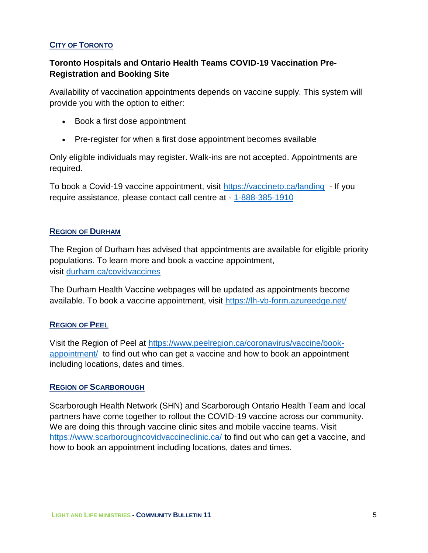#### **CITY OF TORONTO**

### **Toronto Hospitals and Ontario Health Teams COVID-19 Vaccination Pre-Registration and Booking Site**

Availability of vaccination appointments depends on vaccine supply. This system will provide you with the option to either:

- Book a first dose appointment
- Pre-register for when a first dose appointment becomes available

Only eligible individuals may register. Walk-ins are not accepted. Appointments are required.

To book a Covid-19 vaccine appointment, visit<https://vaccineto.ca/landing> - If you require assistance, please contact call centre at - [1-888-385-1910](tel:1-888-385-1910)

#### **REGION OF DURHAM**

The Region of Durham has advised that appointments are available for eligible priority populations. To learn more and book a vaccine appointment, visit [durham.ca/covidvaccines](http://www.durham.ca/covidvaccines)

The Durham Health Vaccine webpages will be updated as appointments become available. To book a vaccine appointment, visit<https://lh-vb-form.azureedge.net/>

#### **REGION OF PEEL**

Visit the Region of Peel at [https://www.peelregion.ca/coronavirus/vaccine/book](https://www.peelregion.ca/coronavirus/vaccine/book-appointment/)[appointment/](https://www.peelregion.ca/coronavirus/vaccine/book-appointment/) to find out who can get a vaccine and how to book an appointment including locations, dates and times.

#### **REGION OF SCARBOROUGH**

Scarborough Health Network (SHN) and Scarborough Ontario Health Team and local partners have come together to rollout the COVID-19 vaccine across our community. We are doing this through vaccine clinic sites and mobile vaccine teams. Visit <https://www.scarboroughcovidvaccineclinic.ca/> to find out who can get a vaccine, and how to book an appointment including locations, dates and times.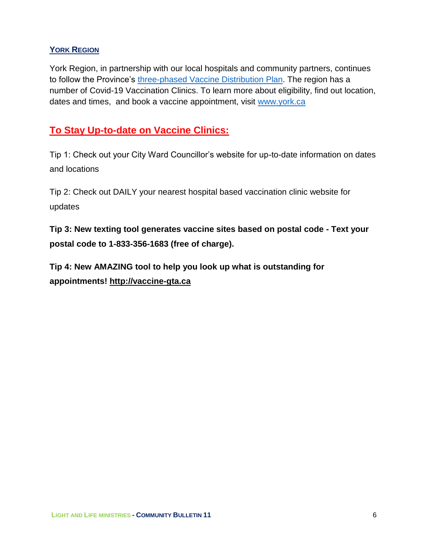### **YORK REGION**

York Region, in partnership with our local hospitals and community partners, continues to follow the Province's [three-phased Vaccine Distribution Plan.](https://files.ontario.ca/moh-covid-19-vaccine-distribution-plan-en-2021-02-19.pdf) The region has a number of Covid-19 Vaccination Clinics. To learn more about eligibility, find out location, dates and times, and book a vaccine appointment, visit [www.york.ca](http://www.york.ca/)

## **To Stay Up-to-date on Vaccine Clinics:**

Tip 1: Check out your City Ward Councillor's website for up-to-date information on dates and locations

Tip 2: Check out DAILY your nearest hospital based vaccination clinic website for updates

**Tip 3: New texting tool generates vaccine sites based on postal code - Text your postal code to 1-833-356-1683 (free of charge).**

**Tip 4: New AMAZING tool to help you look up what is outstanding for appointments! [http://vaccine-gta.ca](https://t.co/euzK4YA9hP?amp=1)**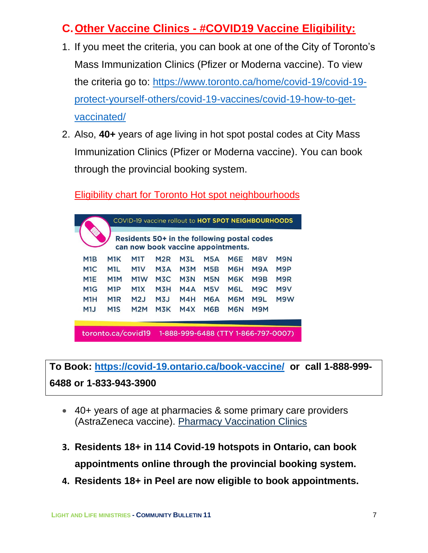## **C.Other Vaccine Clinics - #COVID19 Vaccine Eligibility:**

- 1. If you meet the criteria, you can book at one of the City of Toronto's Mass Immunization Clinics (Pfizer or Moderna vaccine). To view the criteria go to: [https://www.toronto.ca/home/covid-19/covid-19](https://www.toronto.ca/home/covid-19/covid-19-protect-yourself-others/covid-19-vaccines/covid-19-how-to-get-vaccinated/) [protect-yourself-others/covid-19-vaccines/covid-19-how-to-get](https://www.toronto.ca/home/covid-19/covid-19-protect-yourself-others/covid-19-vaccines/covid-19-how-to-get-vaccinated/)[vaccinated/](https://www.toronto.ca/home/covid-19/covid-19-protect-yourself-others/covid-19-vaccines/covid-19-how-to-get-vaccinated/)
- 2. Also, **40+** years of age living in hot spot postal codes at City Mass Immunization Clinics (Pfizer or Moderna vaccine). You can book through the provincial booking system.

Eligibility chart for Toronto Hot spot neighbourhoods



**To Book:<https://covid-19.ontario.ca/book-vaccine/>or call 1-888-999- 6488 or 1-833-943-3900**

- 40+ years of age at pharmacies & some primary care providers (AstraZeneca vaccine). Pharmacy [Vaccination](https://covid-19.ontario.ca/vaccine-locations) Clinics
- **3. Residents 18+ in 114 Covid-19 hotspots in Ontario, can book appointments online through the provincial booking system.**
- **4. Residents 18+ in Peel are now eligible to book appointments.**